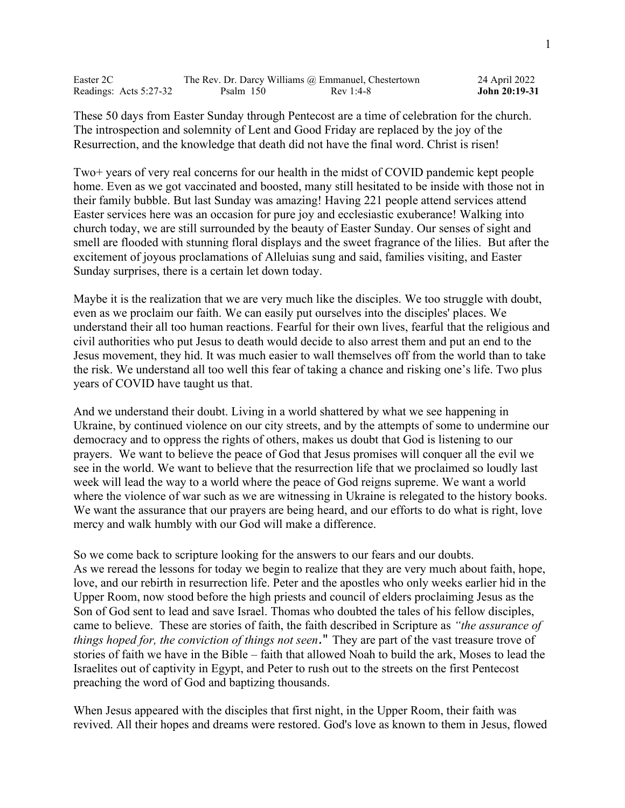| Easter 2C              |           | The Rev. Dr. Darcy Williams @ Emmanuel, Chestertown | 24 April 2022 |
|------------------------|-----------|-----------------------------------------------------|---------------|
| Readings: Acts 5:27-32 | Psalm 150 | Rev 1:4-8                                           | John 20:19-31 |

These 50 days from Easter Sunday through Pentecost are a time of celebration for the church. The introspection and solemnity of Lent and Good Friday are replaced by the joy of the Resurrection, and the knowledge that death did not have the final word. Christ is risen!

Two+ years of very real concerns for our health in the midst of COVID pandemic kept people home. Even as we got vaccinated and boosted, many still hesitated to be inside with those not in their family bubble. But last Sunday was amazing! Having 221 people attend services attend Easter services here was an occasion for pure joy and ecclesiastic exuberance! Walking into church today, we are still surrounded by the beauty of Easter Sunday. Our senses of sight and smell are flooded with stunning floral displays and the sweet fragrance of the lilies. But after the excitement of joyous proclamations of Alleluias sung and said, families visiting, and Easter Sunday surprises, there is a certain let down today.

Maybe it is the realization that we are very much like the disciples. We too struggle with doubt, even as we proclaim our faith. We can easily put ourselves into the disciples' places. We understand their all too human reactions. Fearful for their own lives, fearful that the religious and civil authorities who put Jesus to death would decide to also arrest them and put an end to the Jesus movement, they hid. It was much easier to wall themselves off from the world than to take the risk. We understand all too well this fear of taking a chance and risking one's life. Two plus years of COVID have taught us that.

And we understand their doubt. Living in a world shattered by what we see happening in Ukraine, by continued violence on our city streets, and by the attempts of some to undermine our democracy and to oppress the rights of others, makes us doubt that God is listening to our prayers. We want to believe the peace of God that Jesus promises will conquer all the evil we see in the world. We want to believe that the resurrection life that we proclaimed so loudly last week will lead the way to a world where the peace of God reigns supreme. We want a world where the violence of war such as we are witnessing in Ukraine is relegated to the history books. We want the assurance that our prayers are being heard, and our efforts to do what is right, love mercy and walk humbly with our God will make a difference.

So we come back to scripture looking for the answers to our fears and our doubts. As we reread the lessons for today we begin to realize that they are very much about faith, hope, love, and our rebirth in resurrection life. Peter and the apostles who only weeks earlier hid in the Upper Room, now stood before the high priests and council of elders proclaiming Jesus as the Son of God sent to lead and save Israel. Thomas who doubted the tales of his fellow disciples, came to believe. These are stories of faith, the faith described in Scripture as *"the assurance of things hoped for, the conviction of things not seen*." They are part of the vast treasure trove of stories of faith we have in the Bible – faith that allowed Noah to build the ark, Moses to lead the Israelites out of captivity in Egypt, and Peter to rush out to the streets on the first Pentecost preaching the word of God and baptizing thousands.

When Jesus appeared with the disciples that first night, in the Upper Room, their faith was revived. All their hopes and dreams were restored. God's love as known to them in Jesus, flowed